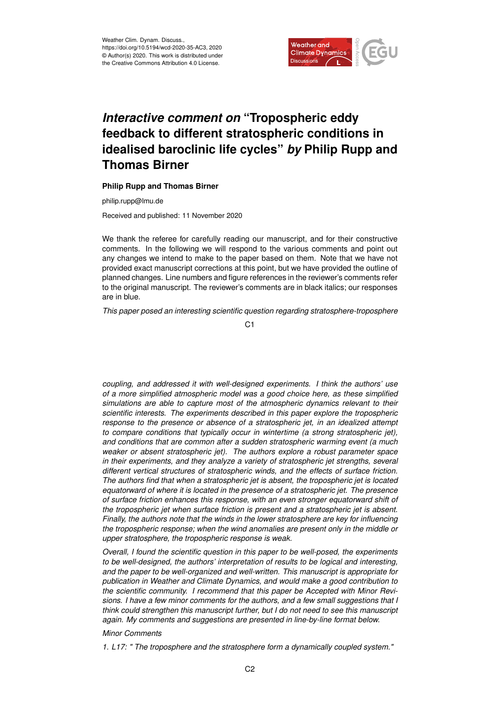

## *Interactive comment on* **"Tropospheric eddy feedback to different stratospheric conditions in idealised baroclinic life cycles"** *by* **Philip Rupp and Thomas Birner**

## **Philip Rupp and Thomas Birner**

philip.rupp@lmu.de

Received and published: 11 November 2020

We thank the referee for carefully reading our manuscript, and for their constructive comments. In the following we will respond to the various comments and point out any changes we intend to make to the paper based on them. Note that we have not provided exact manuscript corrections at this point, but we have provided the outline of planned changes. Line numbers and figure references in the reviewer's comments refer to the original manuscript. The reviewer's comments are in black italics; our responses are in blue.

*This paper posed an interesting scientific question regarding stratosphere-troposphere*

C<sub>1</sub>

*coupling, and addressed it with well-designed experiments. I think the authors' use of a more simplified atmospheric model was a good choice here, as these simplified simulations are able to capture most of the atmospheric dynamics relevant to their scientific interests. The experiments described in this paper explore the tropospheric response to the presence or absence of a stratospheric jet, in an idealized attempt to compare conditions that typically occur in wintertime (a strong stratospheric jet), and conditions that are common after a sudden stratospheric warming event (a much weaker or absent stratospheric jet). The authors explore a robust parameter space in their experiments, and they analyze a variety of stratospheric jet strengths, several different vertical structures of stratospheric winds, and the effects of surface friction. The authors find that when a stratospheric jet is absent, the tropospheric jet is located equatorward of where it is located in the presence of a stratospheric jet. The presence of surface friction enhances this response, with an even stronger equatorward shift of the tropospheric jet when surface friction is present and a stratospheric jet is absent. Finally, the authors note that the winds in the lower stratosphere are key for influencing the tropospheric response; when the wind anomalies are present only in the middle or upper stratosphere, the tropospheric response is weak.*

*Overall, I found the scientific question in this paper to be well-posed, the experiments to be well-designed, the authors' interpretation of results to be logical and interesting, and the paper to be well-organized and well-written. This manuscript is appropriate for publication in Weather and Climate Dynamics, and would make a good contribution to the scientific community. I recommend that this paper be Accepted with Minor Revisions. I have a few minor comments for the authors, and a few small suggestions that I think could strengthen this manuscript further, but I do not need to see this manuscript again. My comments and suggestions are presented in line-by-line format below.*

## *Minor Comments*

*1. L17: " The troposphere and the stratosphere form a dynamically coupled system."*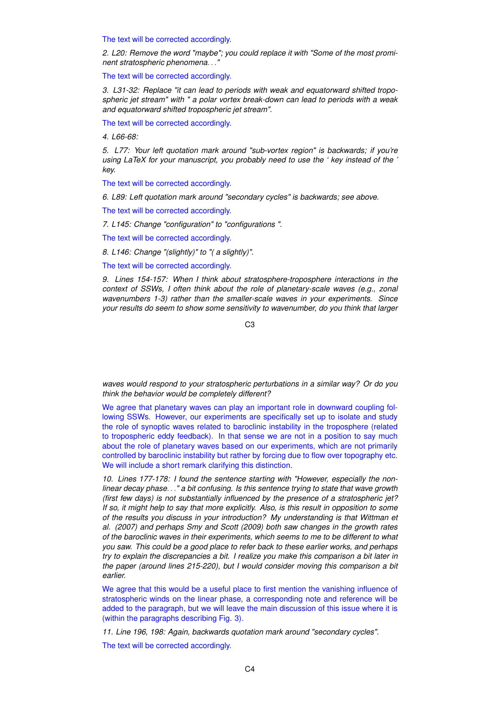The text will be corrected accordingly.

*2. L20: Remove the word "maybe"; you could replace it with "Some of the most prominent stratospheric phenomena*. . .*"*

The text will be corrected accordingly.

*3. L31-32: Replace "it can lead to periods with weak and equatorward shifted tropospheric jet stream" with " a polar vortex break-down can lead to periods with a weak and equatorward shifted tropospheric jet stream".*

The text will be corrected accordingly.

*4. L66-68:*

*5. L77: Your left quotation mark around "sub-vortex region" is backwards; if you're using LaTeX for your manuscript, you probably need to use the ' key instead of the ' key.*

The text will be corrected accordingly.

*6. L89: Left quotation mark around "secondary cycles" is backwards; see above.*

The text will be corrected accordingly.

*7. L145: Change "configuration" to "configurations ".*

The text will be corrected accordingly.

*8. L146: Change "(slightly)" to "( a slightly)".*

The text will be corrected accordingly.

*9. Lines 154-157: When I think about stratosphere-troposphere interactions in the context of SSWs, I often think about the role of planetary-scale waves (e.g., zonal wavenumbers 1-3) rather than the smaller-scale waves in your experiments. Since your results do seem to show some sensitivity to wavenumber, do you think that larger*

C3

*waves would respond to your stratospheric perturbations in a similar way? Or do you think the behavior would be completely different?*

We agree that planetary waves can play an important role in downward coupling following SSWs. However, our experiments are specifically set up to isolate and study the role of synoptic waves related to baroclinic instability in the troposphere (related to tropospheric eddy feedback). In that sense we are not in a position to say much about the role of planetary waves based on our experiments, which are not primarily controlled by baroclinic instability but rather by forcing due to flow over topography etc. We will include a short remark clarifying this distinction.

*10. Lines 177-178: I found the sentence starting with "However, especially the nonlinear decay phase*. . .*" a bit confusing. Is this sentence trying to state that wave growth (first few days) is not substantially influenced by the presence of a stratospheric jet? If so, it might help to say that more explicitly. Also, is this result in opposition to some of the results you discuss in your introduction? My understanding is that Wittman et al. (2007) and perhaps Smy and Scott (2009) both saw changes in the growth rates of the baroclinic waves in their experiments, which seems to me to be different to what you saw. This could be a good place to refer back to these earlier works, and perhaps try to explain the discrepancies a bit. I realize you make this comparison a bit later in the paper (around lines 215-220), but I would consider moving this comparison a bit earlier.*

We agree that this would be a useful place to first mention the vanishing influence of stratospheric winds on the linear phase, a corresponding note and reference will be added to the paragraph, but we will leave the main discussion of this issue where it is (within the paragraphs describing Fig. 3).

*11. Line 196, 198: Again, backwards quotation mark around "secondary cycles".*

The text will be corrected accordingly.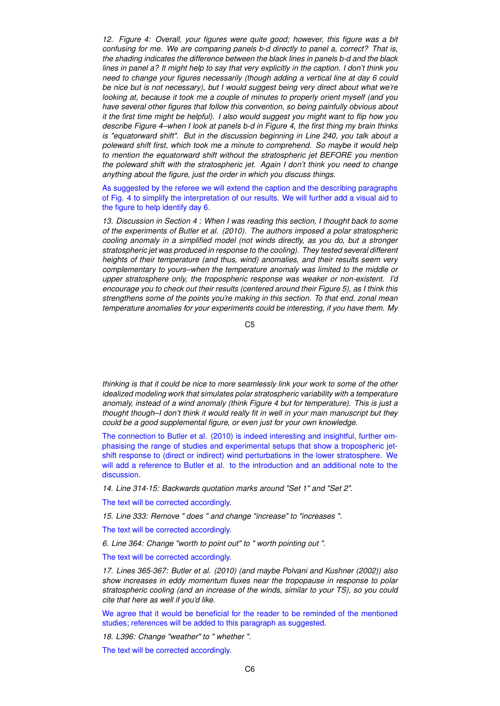*12. Figure 4: Overall, your figures were quite good; however, this figure was a bit confusing for me. We are comparing panels b-d directly to panel a, correct? That is, the shading indicates the difference between the black lines in panels b-d and the black lines in panel a? It might help to say that very explicitly in the caption. I don't think you need to change your figures necessarily (though adding a vertical line at day 6 could be nice but is not necessary), but I would suggest being very direct about what we're looking at, because it took me a couple of minutes to properly orient myself (and you have several other figures that follow this convention, so being painfully obvious about it the first time might be helpful). I also would suggest you might want to flip how you describe Figure 4–when I look at panels b-d in Figure 4, the first thing my brain thinks is "equatorward shift". But in the discussion beginning in Line 240, you talk about a poleward shift first, which took me a minute to comprehend. So maybe it would help to mention the equatorward shift without the stratospheric jet BEFORE you mention the poleward shift with the stratospheric jet. Again I don't think you need to change anything about the figure, just the order in which you discuss things.*

As suggested by the referee we will extend the caption and the describing paragraphs of Fig. 4 to simplify the interpretation of our results. We will further add a visual aid to the figure to help identify day 6.

*13. Discussion in Section 4 : When I was reading this section, I thought back to some of the experiments of Butler et al. (2010). The authors imposed a polar stratospheric cooling anomaly in a simplified model (not winds directly, as you do, but a stronger stratospheric jet was produced in response to the cooling). They tested several different heights of their temperature (and thus, wind) anomalies, and their results seem very complementary to yours–when the temperature anomaly was limited to the middle or upper stratosphere only, the tropospheric response was weaker or non-existent. I'd encourage you to check out their results (centered around their Figure 5), as I think this strengthens some of the points you're making in this section. To that end, zonal mean temperature anomalies for your experiments could be interesting, if you have them. My*

C5

*thinking is that it could be nice to more seamlessly link your work to some of the other idealized modeling work that simulates polar stratospheric variability with a temperature anomaly, instead of a wind anomaly (think Figure 4 but for temperature). This is just a thought though–I don't think it would really fit in well in your main manuscript but they could be a good supplemental figure, or even just for your own knowledge.*

The connection to Butler et al. (2010) is indeed interesting and insightful, further emphasising the range of studies and experimental setups that show a tropospheric jetshift response to (direct or indirect) wind perturbations in the lower stratosphere. We will add a reference to Butler et al. to the introduction and an additional note to the discussion.

*14. Line 314-15: Backwards quotation marks around "Set 1" and "Set 2".*

The text will be corrected accordingly.

*15. Line 333: Remove " does " and change "increase" to "increases ".*

The text will be corrected accordingly.

*6. Line 364: Change "worth to point out" to " worth pointing out ".*

The text will be corrected accordingly.

*17. Lines 365-367: Butler et al. (2010) (and maybe Polvani and Kushner (2002)) also show increases in eddy momentum fluxes near the tropopause in response to polar stratospheric cooling (and an increase of the winds, similar to your TS), so you could cite that here as well if you'd like.*

We agree that it would be beneficial for the reader to be reminded of the mentioned studies; references will be added to this paragraph as suggested.

*18. L396: Change "weather" to " whether ".*

The text will be corrected accordingly.